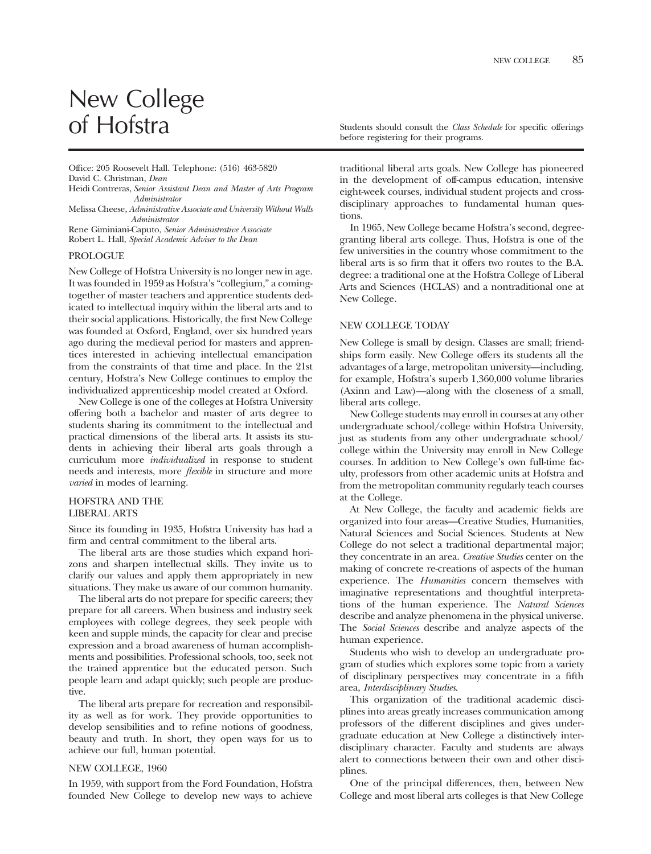# New College<br>of Hofstra

Offce: 205 Roosevelt Hall. Telephone: (516) 463-5820 David C. Christman, *Dean* 

- Heidi Contreras, *Senior Assistant Dean and Master of Arts Program Administrator*
- Melissa Cheese, *Administrative Associate and University Without Walls Administrator*

Rene Giminiani-Caputo, *Senior Administrative Associate*  Robert L. Hall, *Special Academic Adviser to the Dean* 

#### PROLOGUE

New College of Hofstra University is no longer new in age. It was founded in 1959 as Hofstra's "collegium," a comingtogether of master teachers and apprentice students dedicated to intellectual inquiry within the liberal arts and to their social applications. Historically, the frst New College was founded at Oxford, England, over six hundred years ago during the medieval period for masters and apprentices interested in achieving intellectual emancipation from the constraints of that time and place. In the 21st century, Hofstra's New College continues to employ the individualized apprenticeship model created at Oxford.

New College is one of the colleges at Hofstra University offering both a bachelor and master of arts degree to students sharing its commitment to the intellectual and practical dimensions of the liberal arts. It assists its students in achieving their liberal arts goals through a curriculum more *individualized* in response to student needs and interests, more *flexible* in structure and more *varied* in modes of learning.

# HOFSTRA AND THE LIBERAL ARTS

Since its founding in 1935, Hofstra University has had a frm and central commitment to the liberal arts.

The liberal arts are those studies which expand horizons and sharpen intellectual skills. They invite us to clarify our values and apply them appropriately in new situations. They make us aware of our common humanity.

The liberal arts do not prepare for specifc careers; they prepare for all careers. When business and industry seek employees with college degrees, they seek people with keen and supple minds, the capacity for clear and precise expression and a broad awareness of human accomplishments and possibilities. Professional schools, too, seek not the trained apprentice but the educated person. Such people learn and adapt quickly; such people are productive.

The liberal arts prepare for recreation and responsibility as well as for work. They provide opportunities to develop sensibilities and to refne notions of goodness, beauty and truth. In short, they open ways for us to achieve our full, human potential.

# NEW COLLEGE, 1960

In 1959, with support from the Ford Foundation, Hofstra founded New College to develop new ways to achieve

Students should consult the *Class Schedule* for specific offerings before registering for their programs.

traditional liberal arts goals. New College has pioneered in the development of off-campus education, intensive eight-week courses, individual student projects and crossdisciplinary approaches to fundamental human questions.

In 1965, New College became Hofstra's second, degreegranting liberal arts college. Thus, Hofstra is one of the few universities in the country whose commitment to the liberal arts is so frm that it offers two routes to the B.A. degree: a traditional one at the Hofstra College of Liberal Arts and Sciences (HCLAS) and a nontraditional one at New College.

# NEW COLLEGE TODAY

New College is small by design. Classes are small; friendships form easily. New College offers its students all the advantages of a large, metropolitan university—including, for example, Hofstra's superb 1,360,000 volume libraries (Axinn and Law)—along with the closeness of a small, liberal arts college.

New College students may enroll in courses at any other undergraduate school/college within Hofstra University, just as students from any other undergraduate school/ college within the University may enroll in New College courses. In addition to New College's own full-time faculty, professors from other academic units at Hofstra and from the metropolitan community regularly teach courses at the College.

At New College, the faculty and academic felds are organized into four areas—Creative Studies, Humanities, Natural Sciences and Social Sciences. Students at New College do not select a traditional departmental major; they concentrate in an area. *Creative Studies* center on the making of concrete re-creations of aspects of the human experience. The *Humanities* concern themselves with imaginative representations and thoughtful interpretations of the human experience. The *Natural Sciences*  describe and analyze phenomena in the physical universe. The *Social Sciences* describe and analyze aspects of the human experience.

Students who wish to develop an undergraduate program of studies which explores some topic from a variety of disciplinary perspectives may concentrate in a ffth area, *Interdisciplinary Studies*.

This organization of the traditional academic disciplines into areas greatly increases communication among professors of the different disciplines and gives undergraduate education at New College a distinctively interdisciplinary character. Faculty and students are always alert to connections between their own and other disciplines.

One of the principal differences, then, between New College and most liberal arts colleges is that New College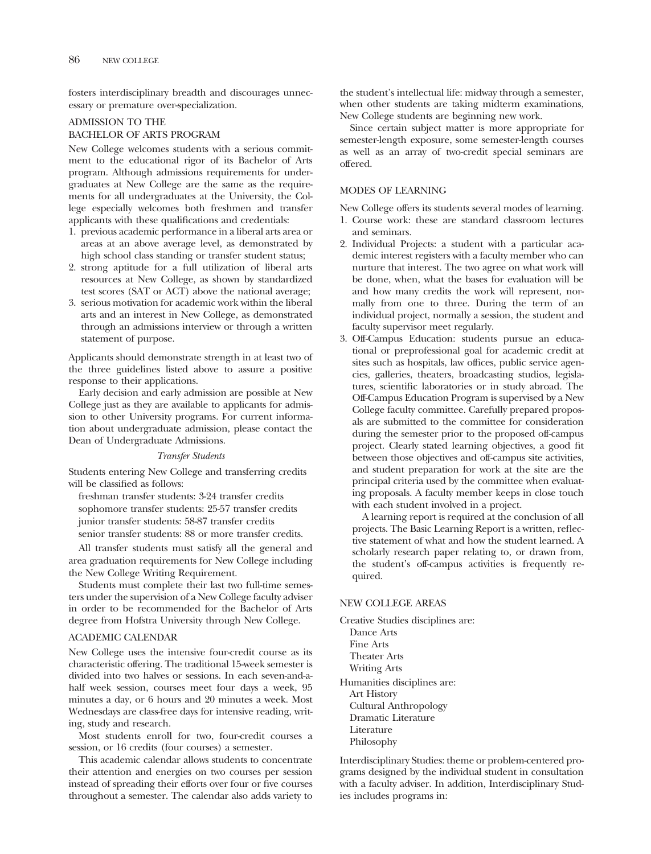fosters interdisciplinary breadth and discourages unnecessary or premature over-specialization.

# ADMISSION TO THE

# BACHELOR OF ARTS PROGRAM

New College welcomes students with a serious commitment to the educational rigor of its Bachelor of Arts program. Although admissions requirements for undergraduates at New College are the same as the requirements for all undergraduates at the University, the College especially welcomes both freshmen and transfer applicants with these qualifcations and credentials:

- 1. previous academic performance in a liberal arts area or areas at an above average level, as demonstrated by high school class standing or transfer student status;
- 2. strong aptitude for a full utilization of liberal arts resources at New College, as shown by standardized test scores (SAT or ACT) above the national average;
- 3. serious motivation for academic work within the liberal arts and an interest in New College, as demonstrated through an admissions interview or through a written statement of purpose.

Applicants should demonstrate strength in at least two of the three guidelines listed above to assure a positive response to their applications.

Early decision and early admission are possible at New College just as they are available to applicants for admission to other University programs. For current information about undergraduate admission, please contact the Dean of Undergraduate Admissions.

### *Transfer Students*

Students entering New College and transferring credits will be classifed as follows:

freshman transfer students: 3-24 transfer credits sophomore transfer students: 25-57 transfer credits junior transfer students: 58-87 transfer credits senior transfer students: 88 or more transfer credits.

All transfer students must satisfy all the general and area graduation requirements for New College including the New College Writing Requirement.

Students must complete their last two full-time semesters under the supervision of a New College faculty adviser in order to be recommended for the Bachelor of Arts degree from Hofstra University through New College.

#### ACADEMIC CALENDAR

New College uses the intensive four-credit course as its characteristic offering. The traditional 15-week semester is divided into two halves or sessions. In each seven-and-ahalf week session, courses meet four days a week, 95 minutes a day, or 6 hours and 20 minutes a week. Most Wednesdays are class-free days for intensive reading, writing, study and research.

Most students enroll for two, four-credit courses a session, or 16 credits (four courses) a semester.

This academic calendar allows students to concentrate their attention and energies on two courses per session instead of spreading their efforts over four or fve courses throughout a semester. The calendar also adds variety to

the student's intellectual life: midway through a semester, when other students are taking midterm examinations, New College students are beginning new work.

Since certain subject matter is more appropriate for semester-length exposure, some semester-length courses as well as an array of two-credit special seminars are offered.

## MODES OF LEARNING

New College offers its students several modes of learning.

- 1. Course work: these are standard classroom lectures and seminars.
- 2. Individual Projects: a student with a particular academic interest registers with a faculty member who can nurture that interest. The two agree on what work will be done, when, what the bases for evaluation will be and how many credits the work will represent, normally from one to three. During the term of an individual project, normally a session, the student and faculty supervisor meet regularly.
- 3. Off-Campus Education: students pursue an educational or preprofessional goal for academic credit at sites such as hospitals, law offices, public service agencies, galleries, theaters, broadcasting studios, legislatures, scientifc laboratories or in study abroad. The Off-Campus Education Program is supervised by a New College faculty committee. Carefully prepared proposals are submitted to the committee for consideration during the semester prior to the proposed off-campus project. Clearly stated learning objectives, a good ft between those objectives and off-campus site activities, and student preparation for work at the site are the principal criteria used by the committee when evaluating proposals. A faculty member keeps in close touch with each student involved in a project.

A learning report is required at the conclusion of all projects. The Basic Learning Report is a written, refective statement of what and how the student learned. A scholarly research paper relating to, or drawn from, the student's off-campus activities is frequently required.

# NEW COLLEGE AREAS

Creative Studies disciplines are: Dance Arts Fine Arts Theater Arts Writing Arts Humanities disciplines are: Art History Cultural Anthropology Dramatic Literature Literature Philosophy

Interdisciplinary Studies: theme or problem-centered programs designed by the individual student in consultation with a faculty adviser. In addition, Interdisciplinary Studies includes programs in: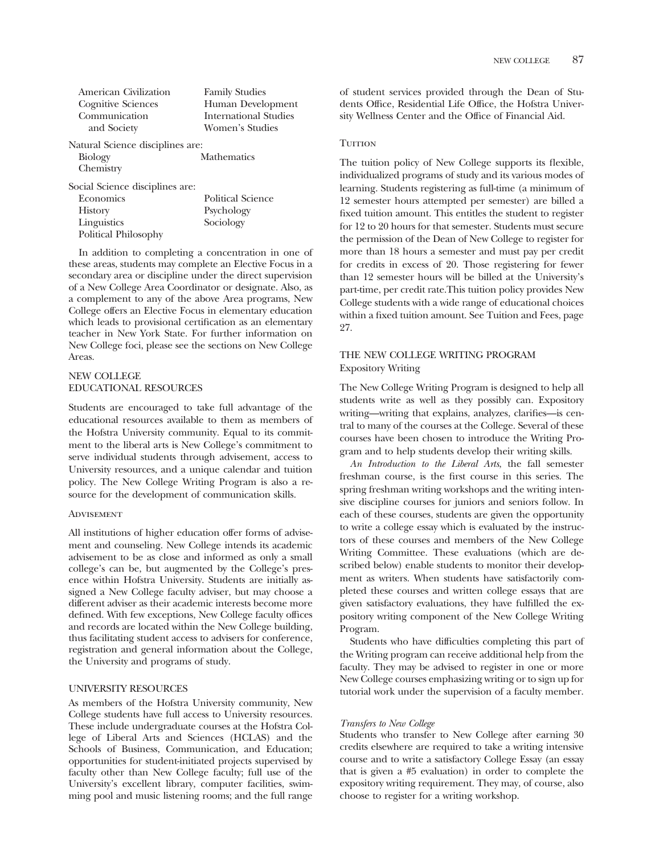| American Civilization            | <b>Family Studies</b> |
|----------------------------------|-----------------------|
| Cognitive Sciences               | Human Development     |
| Communication                    | International Studies |
| and Society                      | Women's Studies       |
| Natural Science disciplines are: |                       |
| <b>Biology</b>                   | <b>Mathematics</b>    |
| Chemistry                        |                       |
| Social Science disciplines are:  |                       |
| Economics                        | Political Science     |
| <b>History</b>                   | Psychology            |
| Linguistics                      | Sociology             |
| Political Philosophy             |                       |

In addition to completing a concentration in one of these areas, students may complete an Elective Focus in a secondary area or discipline under the direct supervision of a New College Area Coordinator or designate. Also, as a complement to any of the above Area programs, New College offers an Elective Focus in elementary education which leads to provisional certifcation as an elementary teacher in New York State. For further information on New College foci, please see the sections on New College Areas.

# NEW COLLEGE EDUCATIONAL RESOURCES

Students are encouraged to take full advantage of the educational resources available to them as members of the Hofstra University community. Equal to its commitment to the liberal arts is New College's commitment to serve individual students through advisement, access to University resources, and a unique calendar and tuition policy. The New College Writing Program is also a resource for the development of communication skills.

# **ADVISEMENT**

All institutions of higher education offer forms of advisement and counseling. New College intends its academic advisement to be as close and informed as only a small college's can be, but augmented by the College's presence within Hofstra University. Students are initially assigned a New College faculty adviser, but may choose a different adviser as their academic interests become more defined. With few exceptions, New College faculty offices and records are located within the New College building, thus facilitating student access to advisers for conference, registration and general information about the College, the University and programs of study.

# UNIVERSITY RESOURCES

As members of the Hofstra University community, New College students have full access to University resources. These include undergraduate courses at the Hofstra College of Liberal Arts and Sciences (HCLAS) and the Schools of Business, Communication, and Education; opportunities for student-initiated projects supervised by faculty other than New College faculty; full use of the University's excellent library, computer facilities, swimming pool and music listening rooms; and the full range

of student services provided through the Dean of Students Office, Residential Life Office, the Hofstra University Wellness Center and the Office of Financial Aid.

# **TUITION**

The tuition policy of New College supports its fexible, individualized programs of study and its various modes of learning. Students registering as full-time (a minimum of 12 semester hours attempted per semester) are billed a fxed tuition amount. This entitles the student to register for 12 to 20 hours for that semester. Students must secure the permission of the Dean of New College to register for more than 18 hours a semester and must pay per credit for credits in excess of 20. Those registering for fewer than 12 semester hours will be billed at the University's part-time, per credit rate.This tuition policy provides New College students with a wide range of educational choices within a fxed tuition amount. See Tuition and Fees, page 27.

# THE NEW COLLEGE WRITING PROGRAM Expository Writing

The New College Writing Program is designed to help all students write as well as they possibly can. Expository writing—writing that explains, analyzes, clarifes—is central to many of the courses at the College. Several of these courses have been chosen to introduce the Writing Program and to help students develop their writing skills.

*An Introduction to the Liberal Arts*, the fall semester freshman course, is the frst course in this series. The spring freshman writing workshops and the writing intensive discipline courses for juniors and seniors follow. In each of these courses, students are given the opportunity to write a college essay which is evaluated by the instructors of these courses and members of the New College Writing Committee. These evaluations (which are described below) enable students to monitor their development as writers. When students have satisfactorily completed these courses and written college essays that are given satisfactory evaluations, they have fulflled the expository writing component of the New College Writing Program.

Students who have diffculties completing this part of the Writing program can receive additional help from the faculty. They may be advised to register in one or more New College courses emphasizing writing or to sign up for tutorial work under the supervision of a faculty member.

#### *Transfers to New College*

Students who transfer to New College after earning 30 credits elsewhere are required to take a writing intensive course and to write a satisfactory College Essay (an essay that is given a #5 evaluation) in order to complete the expository writing requirement. They may, of course, also choose to register for a writing workshop.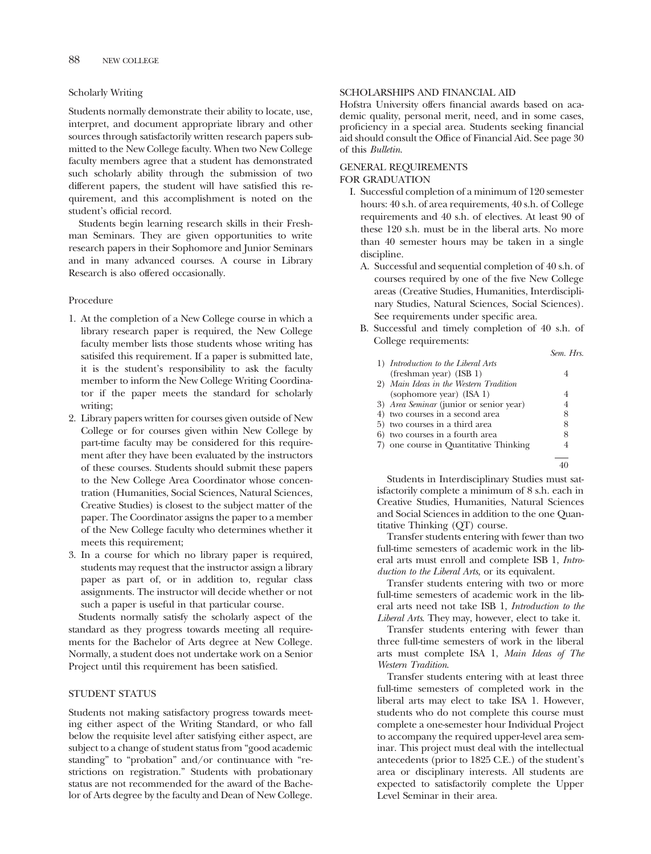# Scholarly Writing

Students normally demonstrate their ability to locate, use, interpret, and document appropriate library and other sources through satisfactorily written research papers submitted to the New College faculty. When two New College faculty members agree that a student has demonstrated such scholarly ability through the submission of two different papers, the student will have satisfed this requirement, and this accomplishment is noted on the student's official record.

Students begin learning research skills in their Freshman Seminars. They are given opportunities to write research papers in their Sophomore and Junior Seminars and in many advanced courses. A course in Library Research is also offered occasionally.

# Procedure

- 1. At the completion of a New College course in which a library research paper is required, the New College faculty member lists those students whose writing has satisifed this requirement. If a paper is submitted late, it is the student's responsibility to ask the faculty member to inform the New College Writing Coordinator if the paper meets the standard for scholarly writing;
- 2. Library papers written for courses given outside of New College or for courses given within New College by part-time faculty may be considered for this requirement after they have been evaluated by the instructors of these courses. Students should submit these papers to the New College Area Coordinator whose concentration (Humanities, Social Sciences, Natural Sciences, Creative Studies) is closest to the subject matter of the paper. The Coordinator assigns the paper to a member of the New College faculty who determines whether it meets this requirement;
- 3. In a course for which no library paper is required, students may request that the instructor assign a library paper as part of, or in addition to, regular class assignments. The instructor will decide whether or not such a paper is useful in that particular course.

Students normally satisfy the scholarly aspect of the standard as they progress towards meeting all requirements for the Bachelor of Arts degree at New College. Normally, a student does not undertake work on a Senior Project until this requirement has been satisfed.

# STUDENT STATUS

Students not making satisfactory progress towards meeting either aspect of the Writing Standard, or who fall below the requisite level after satisfying either aspect, are subject to a change of student status from "good academic standing" to "probation" and/or continuance with "restrictions on registration." Students with probationary status are not recommended for the award of the Bachelor of Arts degree by the faculty and Dean of New College.

# SCHOLARSHIPS AND FINANCIAL AID

Hofstra University offers fnancial awards based on academic quality, personal merit, need, and in some cases, profciency in a special area. Students seeking fnancial aid should consult the Offce of Financial Aid. See page 30 of this *Bulletin*.

# GENERAL REQUIREMENTS

# FOR GRADUATION

- I. Successful completion of a minimum of 120 semester hours: 40 s.h. of area requirements, 40 s.h. of College requirements and 40 s.h. of electives. At least 90 of these 120 s.h. must be in the liberal arts. No more than 40 semester hours may be taken in a single discipline.
	- A. Successful and sequential completion of 40 s.h. of courses required by one of the fve New College areas (Creative Studies, Humanities, Interdisciplinary Studies, Natural Sciences, Social Sciences). See requirements under specifc area.
	- B. Successful and timely completion of 40 s.h. of College requirements:

|    |                                         | Sem. Hrs. |
|----|-----------------------------------------|-----------|
|    | 1) Introduction to the Liberal Arts     |           |
|    | (freshman year) (ISB 1)                 | 4         |
|    | 2) Main Ideas in the Western Tradition  |           |
|    | (sophomore year) (ISA 1)                | 4         |
|    | 3) Area Seminar (junior or senior year) | 4         |
|    | 4) two courses in a second area         | 8         |
|    | 5) two courses in a third area          | 8         |
| 6) | two courses in a fourth area            | 8         |
|    | 7) one course in Quantitative Thinking  | 4         |
|    |                                         |           |
|    |                                         |           |

Students in Interdisciplinary Studies must satisfactorily complete a minimum of 8 s.h. each in Creative Studies, Humanities, Natural Sciences and Social Sciences in addition to the one Quantitative Thinking (QT) course.

Transfer students entering with fewer than two full-time semesters of academic work in the liberal arts must enroll and complete ISB 1, *Introduction to the Liberal Arts*, or its equivalent.

Transfer students entering with two or more full-time semesters of academic work in the liberal arts need not take ISB 1, *Introduction to the Liberal Arts*. They may, however, elect to take it.

Transfer students entering with fewer than three full-time semesters of work in the liberal arts must complete ISA 1, *Main Ideas of The Western Tradition*.

Transfer students entering with at least three full-time semesters of completed work in the liberal arts may elect to take ISA 1. However, students who do not complete this course must complete a one-semester hour Individual Project to accompany the required upper-level area seminar. This project must deal with the intellectual antecedents (prior to 1825 C.E.) of the student's area or disciplinary interests. All students are expected to satisfactorily complete the Upper Level Seminar in their area.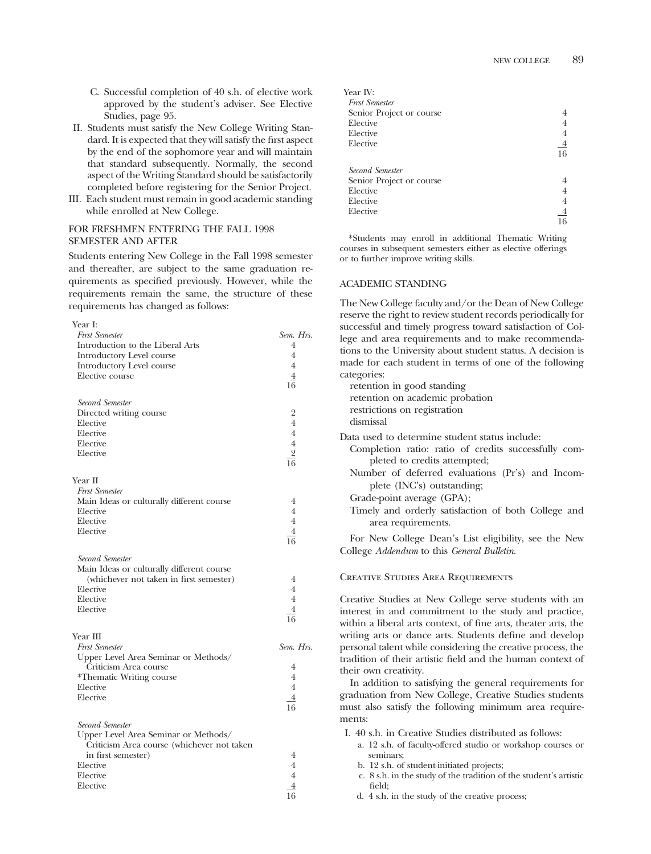- C. Successful completion of 40 s.h. of elective work approved by the student's adviser. See Elective Studies, page 95.
- II. Students must satisfy the New College Writing Standard. It is expected that they will satisfy the frst aspect by the end of the sophomore year and will maintain that standard subsequently. Normally, the second aspect of the Writing Standard should be satisfactorily completed before registering for the Senior Project.
- III. Each student must remain in good academic standing while enrolled at New College.

# FOR FRESHMEN ENTERING THE FALL 1998 SEMESTER AND AFTER

Year I:

Students entering New College in the Fall 1998 semester and thereafter, are subject to the same graduation requirements as specifed previously. However, while the requirements remain the same, the structure of these requirements has changed as follows:

| <b>First Semester</b>                      | Sem. Hrs.      |
|--------------------------------------------|----------------|
| Introduction to the Liberal Arts           | 4              |
| Introductory Level course                  | $\overline{4}$ |
| Introductory Level course                  | $\overline{4}$ |
| Elective course                            | $\overline{4}$ |
|                                            | 16             |
| Second Semester                            |                |
| Directed writing course                    | $\overline{2}$ |
| Elective                                   | $\overline{4}$ |
| Elective                                   | $\overline{4}$ |
| Elective                                   | $\overline{4}$ |
| Elective                                   | $\overline{2}$ |
|                                            | 16             |
| Year II                                    |                |
| <b>First Semester</b>                      |                |
| Main Ideas or culturally different course  | 4              |
| Elective                                   | $\overline{4}$ |
| Elective                                   | $\overline{4}$ |
| Elective                                   | $\overline{4}$ |
|                                            | 16             |
| Second Semester                            |                |
| Main Ideas or culturally different course  |                |
| (whichever not taken in first semester)    | 4              |
| Elective                                   | $\overline{4}$ |
| Elective                                   | $\overline{4}$ |
| Elective                                   | $\overline{4}$ |
|                                            | 16             |
| Year III                                   |                |
| <b>First Semester</b>                      | Sem. Hrs.      |
| Upper Level Area Seminar or Methods/       |                |
| Criticism Area course                      | 4              |
| *Thematic Writing course                   | 4              |
| Elective                                   | $\overline{4}$ |
| Elective                                   | $\overline{4}$ |
|                                            | 16             |
| Second Semester                            |                |
| Upper Level Area Seminar or Methods/       |                |
| Criticism Area course (whichever not taken |                |
| in first semester)                         | 4              |
| Elective                                   | $\overline{4}$ |
| Elective                                   | $\overline{4}$ |
| Elective                                   | 4              |
|                                            | 16             |

| Year IV:                 |                |
|--------------------------|----------------|
| <b>First Semester</b>    |                |
| Senior Project or course |                |
| Elective                 |                |
| Elective                 | 4              |
| Elective                 | $\overline{4}$ |
|                          | 16             |
| Second Semester          |                |
| Senior Project or course |                |
| Elective                 |                |
| Elective                 | 4              |
| Elective                 | 4              |
|                          |                |

\*Students may enroll in additional Thematic Writing courses in subsequent semesters either as elective offerings or to further improve writing skills.

# ACADEMIC STANDING

The New College faculty and/or the Dean of New College reserve the right to review student records periodically for successful and timely progress toward satisfaction of College and area requirements and to make recommendations to the University about student status. A decision is made for each student in terms of one of the following categories:

retention in good standing retention on academic probation restrictions on registration dismissal Data used to determine student status include: Completion ratio: ratio of credits successfully completed to credits attempted; Number of deferred evaluations (Pr's) and Incomplete (INC's) outstanding; Grade-point average (GPA); Timely and orderly satisfaction of both College and area requirements. For New College Dean's List eligibility, see the New College *Addendum* to this *General Bulletin*.

#### Creative Studies Area Requirements

Creative Studies at New College serve students with an interest in and commitment to the study and practice, within a liberal arts context, of fne arts, theater arts, the writing arts or dance arts. Students defne and develop personal talent while considering the creative process, the tradition of their artistic feld and the human context of their own creativity.

In addition to satisfying the general requirements for graduation from New College, Creative Studies students must also satisfy the following minimum area requirements:

- I. 40 s.h. in Creative Studies distributed as follows:
	- a. 12 s.h. of faculty-offered studio or workshop courses or seminars;
	- b. 12 s.h. of student-initiated projects;
	- c. 8 s.h. in the study of the tradition of the student's artistic feld;
	- d. 4 s.h. in the study of the creative process;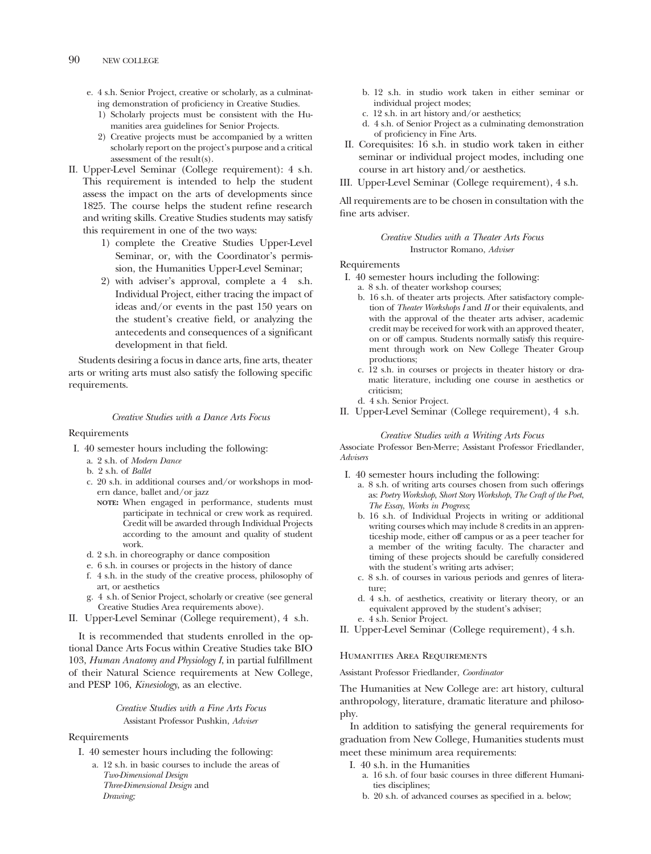- e. 4 s.h. Senior Project, creative or scholarly, as a culminating demonstration of proficiency in Creative Studies.
	- 1) Scholarly projects must be consistent with the Humanities area guidelines for Senior Projects.
	- 2) Creative projects must be accompanied by a written scholarly report on the project's purpose and a critical assessment of the result(s).
- II. Upper-Level Seminar (College requirement): 4 s.h. This requirement is intended to help the student assess the impact on the arts of developments since 1825. The course helps the student refne research and writing skills. Creative Studies students may satisfy this requirement in one of the two ways:
	- 1) complete the Creative Studies Upper-Level Seminar, or, with the Coordinator's permission, the Humanities Upper-Level Seminar;
	- 2) with adviser's approval, complete a 4 s.h. Individual Project, either tracing the impact of ideas and/or events in the past 150 years on the student's creative feld, or analyzing the antecedents and consequences of a signifcant development in that feld.

Students desiring a focus in dance arts, fne arts, theater arts or writing arts must also satisfy the following specifc requirements.

# *Creative Studies with a Dance Arts Focus*

# Requirements

- I. 40 semester hours including the following:
	- a. 2 s.h. of *Modern Dance*
	- b. 2 s.h. of *Ballet*
	- c. 20 s.h. in additional courses and/or workshops in modern dance, ballet and/or jazz
		- **NOTE:** When engaged in performance, students must participate in technical or crew work as required. Credit will be awarded through Individual Projects according to the amount and quality of student work.
	- d. 2 s.h. in choreography or dance composition
	- e. 6 s.h. in courses or projects in the history of dance
	- f. 4 s.h. in the study of the creative process, philosophy of art, or aesthetics
	- g. 4 s.h. of Senior Project, scholarly or creative (see general Creative Studies Area requirements above).
- II. Upper-Level Seminar (College requirement), 4 s.h.

It is recommended that students enrolled in the optional Dance Arts Focus within Creative Studies take BIO 103, *Human Anatomy and Physiology I*, in partial fulfllment of their Natural Science requirements at New College, and PESP 106, *Kinesiology*, as an elective.

> *Creative Studies with a Fine Arts Focus*  Assistant Professor Pushkin, *Adviser*

# Requirements

- I. 40 semester hours including the following:
	- a. 12 s.h. in basic courses to include the areas of *Two-Dimensional Design Three-Dimensional Design* and *Drawing;*
- b. 12 s.h. in studio work taken in either seminar or individual project modes;
- c. 12 s.h. in art history and/or aesthetics;
- d. 4 s.h. of Senior Project as a culminating demonstration of profciency in Fine Arts.
- II. Corequisites: 16 s.h. in studio work taken in either seminar or individual project modes, including one course in art history and/or aesthetics.
- III. Upper-Level Seminar (College requirement), 4 s.h.

All requirements are to be chosen in consultation with the fne arts adviser.

# *Creative Studies with a Theater Arts Focus*  Instructor Romano, *Adviser*

#### Requirements

- I. 40 semester hours including the following:
	- a. 8 s.h. of theater workshop courses;
	- b. 16 s.h. of theater arts projects. After satisfactory completion of *Theater Workshops I* and *II* or their equivalents, and with the approval of the theater arts adviser, academic credit may be received for work with an approved theater, on or off campus. Students normally satisfy this requirement through work on New College Theater Group productions;
	- c. 12 s.h. in courses or projects in theater history or dramatic literature, including one course in aesthetics or criticism;
	- d. 4 s.h. Senior Project.
- II. Upper-Level Seminar (College requirement), 4 s.h.

# *Creative Studies with a Writing Arts Focus*

Associate Professor Ben-Merre; Assistant Professor Friedlander, *Advisers* 

- I. 40 semester hours including the following:
	- a. 8 s.h. of writing arts courses chosen from such offerings as: *Poetry Workshop*, *Short Story Workshop*, *The Craft of the Poet*, *The Essay*, *Works in Progress*;
	- b. 16 s.h. of Individual Projects in writing or additional writing courses which may include 8 credits in an apprenticeship mode, either off campus or as a peer teacher for a member of the writing faculty. The character and timing of these projects should be carefully considered with the student's writing arts adviser;
	- c. 8 s.h. of courses in various periods and genres of literature;
	- d. 4 s.h. of aesthetics, creativity or literary theory, or an equivalent approved by the student's adviser;
	- e. 4 s.h. Senior Project.
- II. Upper-Level Seminar (College requirement), 4 s.h.

# Humanities Area Requirements

Assistant Professor Friedlander, *Coordinator* 

The Humanities at New College are: art history, cultural anthropology, literature, dramatic literature and philosophy.

In addition to satisfying the general requirements for graduation from New College, Humanities students must meet these minimum area requirements:

- I. 40 s.h. in the Humanities
	- a. 16 s.h. of four basic courses in three different Humanities disciplines;
	- b. 20 s.h. of advanced courses as specifed in a. below;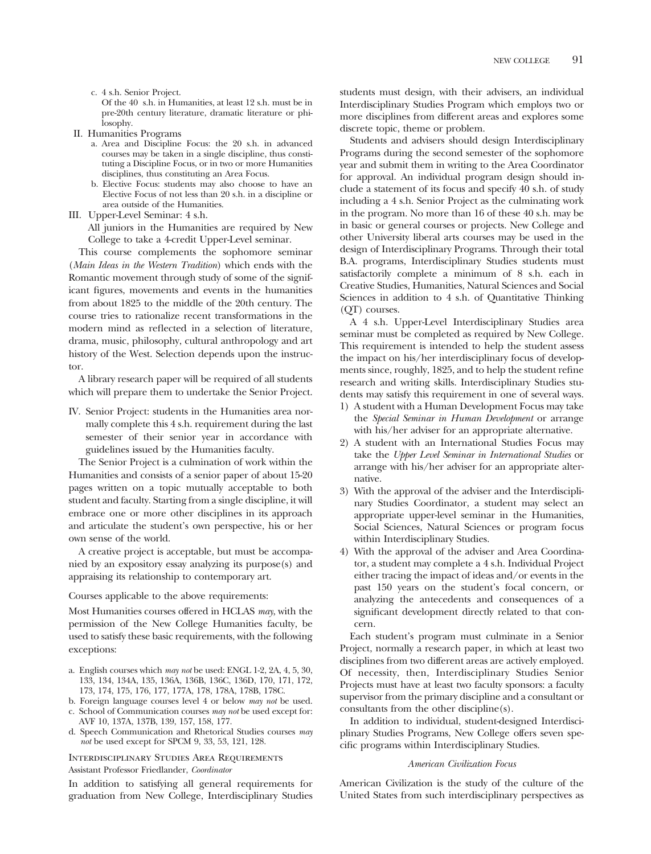c. 4 s.h. Senior Project.

Of the 40 s.h. in Humanities, at least 12 s.h. must be in pre-20th century literature, dramatic literature or philosophy.

- II. Humanities Programs
	- a. Area and Discipline Focus: the 20 s.h. in advanced courses may be taken in a single discipline, thus constituting a Discipline Focus, or in two or more Humanities disciplines, thus constituting an Area Focus.
	- b. Elective Focus: students may also choose to have an Elective Focus of not less than 20 s.h. in a discipline or area outside of the Humanities.
- III. Upper-Level Seminar: 4 s.h.

All juniors in the Humanities are required by New College to take a 4-credit Upper-Level seminar.

This course complements the sophomore seminar (*Main Ideas in the Western Tradition*) which ends with the Romantic movement through study of some of the significant fgures, movements and events in the humanities from about 1825 to the middle of the 20th century. The course tries to rationalize recent transformations in the modern mind as refected in a selection of literature, drama, music, philosophy, cultural anthropology and art history of the West. Selection depends upon the instructor.

A library research paper will be required of all students which will prepare them to undertake the Senior Project.

IV. Senior Project: students in the Humanities area normally complete this 4 s.h. requirement during the last semester of their senior year in accordance with guidelines issued by the Humanities faculty.

The Senior Project is a culmination of work within the Humanities and consists of a senior paper of about 15-20 pages written on a topic mutually acceptable to both student and faculty. Starting from a single discipline, it will embrace one or more other disciplines in its approach and articulate the student's own perspective, his or her own sense of the world.

A creative project is acceptable, but must be accompanied by an expository essay analyzing its purpose(s) and appraising its relationship to contemporary art.

Courses applicable to the above requirements:

Most Humanities courses offered in HCLAS *may*, with the permission of the New College Humanities faculty, be used to satisfy these basic requirements, with the following exceptions:

- a. English courses which *may not* be used: ENGL 1-2, 2A, 4, 5, 30, 133, 134, 134A, 135, 136A, 136B, 136C, 136D, 170, 171, 172, 173, 174, 175, 176, 177, 177A, 178, 178A, 178B, 178C.
- b. Foreign language courses level 4 or below *may not* be used. c. School of Communication courses *may not* be used except for:
- AVF 10, 137A, 137B, 139, 157, 158, 177. d. Speech Communication and Rhetorical Studies courses *may not* be used except for SPCM 9, 33, 53, 121, 128.

Interdisciplinary Studies Area Requirements Assistant Professor Friedlander, *Coordinator* 

In addition to satisfying all general requirements for graduation from New College, Interdisciplinary Studies

students must design, with their advisers, an individual Interdisciplinary Studies Program which employs two or more disciplines from different areas and explores some discrete topic, theme or problem.

Students and advisers should design Interdisciplinary Programs during the second semester of the sophomore year and submit them in writing to the Area Coordinator for approval. An individual program design should include a statement of its focus and specify 40 s.h. of study including a 4 s.h. Senior Project as the culminating work in the program. No more than 16 of these 40 s.h. may be in basic or general courses or projects. New College and other University liberal arts courses may be used in the design of Interdisciplinary Programs. Through their total B.A. programs, Interdisciplinary Studies students must satisfactorily complete a minimum of 8 s.h. each in Creative Studies, Humanities, Natural Sciences and Social Sciences in addition to 4 s.h. of Quantitative Thinking (QT) courses.

A 4 s.h. Upper-Level Interdisciplinary Studies area seminar must be completed as required by New College. This requirement is intended to help the student assess the impact on his/her interdisciplinary focus of developments since, roughly, 1825, and to help the student refne research and writing skills. Interdisciplinary Studies students may satisfy this requirement in one of several ways.

- 1) A student with a Human Development Focus may take the *Special Seminar in Human Development* or arrange with his/her adviser for an appropriate alternative.
- 2) A student with an International Studies Focus may take the *Upper Level Seminar in International Studies* or arrange with his/her adviser for an appropriate alternative.
- 3) With the approval of the adviser and the Interdisciplinary Studies Coordinator, a student may select an appropriate upper-level seminar in the Humanities, Social Sciences, Natural Sciences or program focus within Interdisciplinary Studies.
- 4) With the approval of the adviser and Area Coordinator, a student may complete a 4 s.h. Individual Project either tracing the impact of ideas and/or events in the past 150 years on the student's focal concern, or analyzing the antecedents and consequences of a signifcant development directly related to that concern.

Each student's program must culminate in a Senior Project, normally a research paper, in which at least two disciplines from two different areas are actively employed. Of necessity, then, Interdisciplinary Studies Senior Projects must have at least two faculty sponsors: a faculty supervisor from the primary discipline and a consultant or consultants from the other discipline(s).

In addition to individual, student-designed Interdisciplinary Studies Programs, New College offers seven specifc programs within Interdisciplinary Studies.

# *American Civilization Focus*

American Civilization is the study of the culture of the United States from such interdisciplinary perspectives as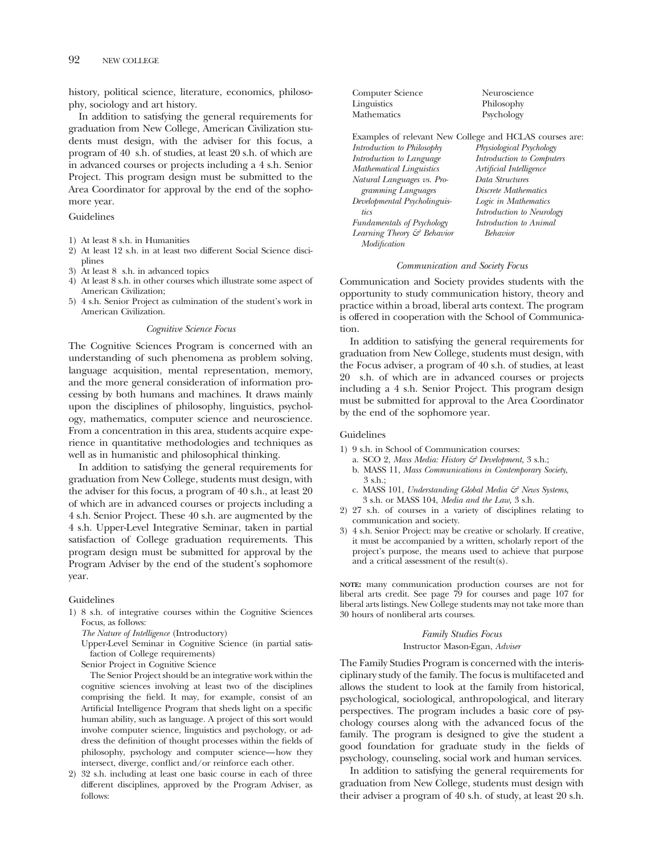history, political science, literature, economics, philosophy, sociology and art history.

In addition to satisfying the general requirements for graduation from New College, American Civilization students must design, with the adviser for this focus, a program of 40 s.h. of studies, at least 20 s.h. of which are in advanced courses or projects including a 4 s.h. Senior Project. This program design must be submitted to the Area Coordinator for approval by the end of the sophomore year.

Guidelines

- 1) At least 8 s.h. in Humanities
- 2) At least 12 s.h. in at least two different Social Science disciplines
- 3) At least 8 s.h. in advanced topics
- 4) At least 8 s.h. in other courses which illustrate some aspect of American Civilization;
- 5) 4 s.h. Senior Project as culmination of the student's work in American Civilization.

#### *Cognitive Science Focus*

The Cognitive Sciences Program is concerned with an understanding of such phenomena as problem solving, language acquisition, mental representation, memory, and the more general consideration of information processing by both humans and machines. It draws mainly upon the disciplines of philosophy, linguistics, psychology, mathematics, computer science and neuroscience. From a concentration in this area, students acquire experience in quantitative methodologies and techniques as well as in humanistic and philosophical thinking.

In addition to satisfying the general requirements for graduation from New College, students must design, with the adviser for this focus, a program of 40 s.h., at least 20 of which are in advanced courses or projects including a 4 s.h. Senior Project. These 40 s.h. are augmented by the 4 s.h. Upper-Level Integrative Seminar, taken in partial satisfaction of College graduation requirements. This program design must be submitted for approval by the Program Adviser by the end of the student's sophomore year.

Guidelines

1) 8 s.h. of integrative courses within the Cognitive Sciences Focus, as follows:

*The Nature of Intelligence* (Introductory)

Upper-Level Seminar in Cognitive Science (in partial satisfaction of College requirements)

Senior Project in Cognitive Science

The Senior Project should be an integrative work within the cognitive sciences involving at least two of the disciplines comprising the feld. It may, for example, consist of an Artifcial Intelligence Program that sheds light on a specifc human ability, such as language. A project of this sort would involve computer science, linguistics and psychology, or address the defnition of thought processes within the felds of philosophy, psychology and computer science—how they intersect, diverge, confict and/or reinforce each other.

2) 32 s.h. including at least one basic course in each of three different disciplines, approved by the Program Adviser, as follows:

| Computer Science                  | Neuroscience                                            |
|-----------------------------------|---------------------------------------------------------|
| Linguistics                       | Philosophy                                              |
| Mathematics                       | Psychology                                              |
|                                   | Examples of relevant New College and HCLAS courses are: |
| Introduction to Philosophy        | Physiological Psychology                                |
| Introduction to Language          | Introduction to Computers                               |
| <b>Mathematical Linguistics</b>   | Artificial Intelligence                                 |
| Natural Languages vs. Pro-        | Data Structures                                         |
| gramming Languages                | Discrete Mathematics                                    |
| Developmental Psycholinguis-      | Logic in Mathematics                                    |
| tics                              | Introduction to Neurology                               |
| <i>Fundamentals of Psychology</i> | Introduction to Animal                                  |
| Learning Theory & Behavior        | Behavior                                                |
| Modification                      |                                                         |

#### *Communication and Society Focus*

Communication and Society provides students with the opportunity to study communication history, theory and practice within a broad, liberal arts context. The program is offered in cooperation with the School of Communication.

In addition to satisfying the general requirements for graduation from New College, students must design, with the Focus adviser, a program of 40 s.h. of studies, at least 20 s.h. of which are in advanced courses or projects including a 4 s.h. Senior Project. This program design must be submitted for approval to the Area Coordinator by the end of the sophomore year.

# Guidelines

- 1) 9 s.h. in School of Communication courses:
	- a. SCO 2, *Mass Media: History & Development,* 3 s.h.;
	- b. MASS 11, *Mass Communications in Contemporary Society*, 3 s.h.;
	- c. MASS 101, *Understanding Global Media & News Systems,*  3 s.h. or MASS 104, *Media and the Law,* 3 s.h.
- 2) 27 s.h. of courses in a variety of disciplines relating to communication and society.
- 3) 4 s.h. Senior Project: may be creative or scholarly. If creative, it must be accompanied by a written, scholarly report of the project's purpose, the means used to achieve that purpose and a critical assessment of the result(s).

**NOTE:** many communication production courses are not for liberal arts credit. See page 79 for courses and page 107 for liberal arts listings. New College students may not take more than 30 hours of nonliberal arts courses.

# *Family Studies Focus*  Instructor Mason-Egan, *Adviser*

The Family Studies Program is concerned with the interisciplinary study of the family. The focus is multifaceted and allows the student to look at the family from historical, psychological, sociological, anthropological, and literary perspectives. The program includes a basic core of psychology courses along with the advanced focus of the family. The program is designed to give the student a good foundation for graduate study in the felds of psychology, counseling, social work and human services.

In addition to satisfying the general requirements for graduation from New College, students must design with their adviser a program of 40 s.h. of study, at least 20 s.h.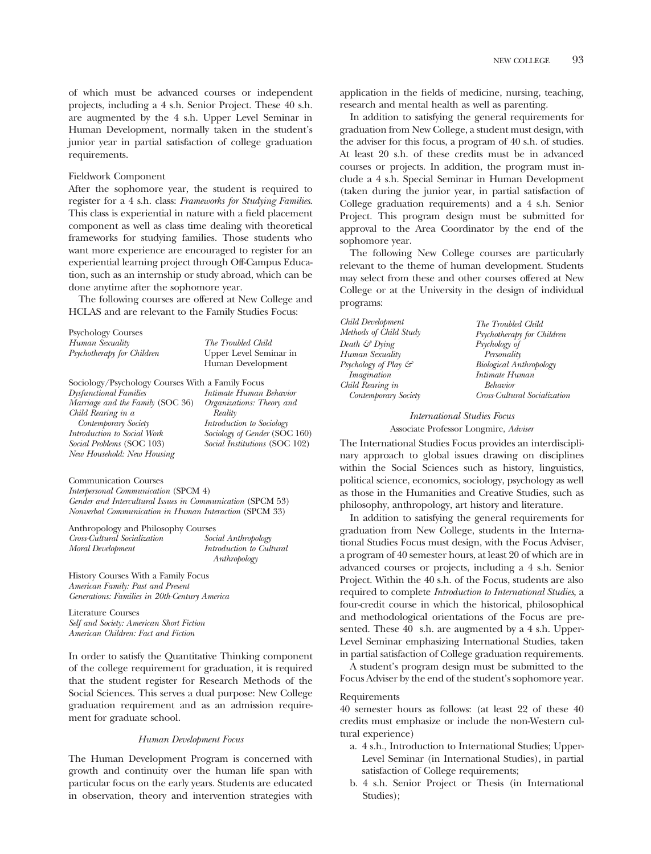of which must be advanced courses or independent projects, including a 4 s.h. Senior Project. These 40 s.h. are augmented by the 4 s.h. Upper Level Seminar in Human Development, normally taken in the student's junior year in partial satisfaction of college graduation requirements.

# Fieldwork Component

After the sophomore year, the student is required to register for a 4 s.h. class: *Frameworks for Studying Families*. This class is experiential in nature with a feld placement component as well as class time dealing with theoretical frameworks for studying families. Those students who want more experience are encouraged to register for an experiential learning project through Off-Campus Education, such as an internship or study abroad, which can be done anytime after the sophomore year.

The following courses are offered at New College and HCLAS and are relevant to the Family Studies Focus:

| <b>Psychology Courses</b>                        |                               |
|--------------------------------------------------|-------------------------------|
| Human Sexuality                                  | The Troubled Child            |
| Psychotherapy for Children                       | Upper Level Seminar in        |
|                                                  | Human Development             |
| Sociology/Psychology Courses With a Family Focus |                               |
| <b>Dysfunctional Families</b>                    | Intimate Human Behavior       |
| Marriage and the Family (SOC 36)                 | Organizations: Theory and     |
| Child Rearing in a                               | Reality                       |
| Contemporary Society                             | Introduction to Sociology     |
| Introduction to Social Work                      | Sociology of Gender (SOC 160) |
| Social Problems (SOC 103)                        | Social Institutions (SOC 102) |
| New Household: New Housing                       |                               |
| <b>Communication Courses</b>                     |                               |
| <i>Interpersonal Communication</i> (SPCM 4)      |                               |

*Gender and Intercultural Issues in Communication* (SPCM 53) *Nonverbal Communication in Human Interaction* (SPCM 33)

Anthropology and Philosophy Courses<br>
Cross-Cultural Socialization Social Anthropology *Cross-Cultural Socialization Social Anthropology Moral Development Introduction to Cultural Anthropology* 

History Courses With a Family Focus *American Family: Past and Present Generations: Families in 20th-Century America* 

Literature Courses *Self and Society: American Short Fiction American Children: Fact and Fiction* 

In order to satisfy the Quantitative Thinking component of the college requirement for graduation, it is required that the student register for Research Methods of the Social Sciences. This serves a dual purpose: New College graduation requirement and as an admission requirement for graduate school.

#### *Human Development Focus*

The Human Development Program is concerned with growth and continuity over the human life span with particular focus on the early years. Students are educated in observation, theory and intervention strategies with

application in the felds of medicine, nursing, teaching, research and mental health as well as parenting.

In addition to satisfying the general requirements for graduation from New College, a student must design, with the adviser for this focus, a program of 40 s.h. of studies. At least 20 s.h. of these credits must be in advanced courses or projects. In addition, the program must include a 4 s.h. Special Seminar in Human Development (taken during the junior year, in partial satisfaction of College graduation requirements) and a 4 s.h. Senior Project. This program design must be submitted for approval to the Area Coordinator by the end of the sophomore year.

The following New College courses are particularly relevant to the theme of human development. Students may select from these and other courses offered at New College or at the University in the design of individual programs:

*Child Development The Troubled Child Human Sexuality Personality Imagination Intimate Human Child Rearing in Behavior* 

*Methods of Child Study Psychotherapy for Children*<br>*Death & Dying Psychology of Death & Dying Psychology of*   $Biology$  *Anthropology Contemporary Society Cross-Cultural Socialization* 

# *International Studies Focus*

Associate Professor Longmire, *Adviser* 

The International Studies Focus provides an interdisciplinary approach to global issues drawing on disciplines within the Social Sciences such as history, linguistics, political science, economics, sociology, psychology as well as those in the Humanities and Creative Studies, such as philosophy, anthropology, art history and literature.

In addition to satisfying the general requirements for graduation from New College, students in the International Studies Focus must design, with the Focus Adviser, a program of 40 semester hours, at least 20 of which are in advanced courses or projects, including a 4 s.h. Senior Project. Within the 40 s.h. of the Focus, students are also required to complete *Introduction to International Studies*, a four-credit course in which the historical, philosophical and methodological orientations of the Focus are presented. These 40 s.h. are augmented by a 4 s.h. Upper-Level Seminar emphasizing International Studies, taken in partial satisfaction of College graduation requirements.

A student's program design must be submitted to the Focus Adviser by the end of the student's sophomore year.

#### Requirements

40 semester hours as follows: (at least 22 of these 40 credits must emphasize or include the non-Western cultural experience)

- a. 4 s.h., Introduction to International Studies; Upper-Level Seminar (in International Studies), in partial satisfaction of College requirements;
- b. 4 s.h. Senior Project or Thesis (in International Studies);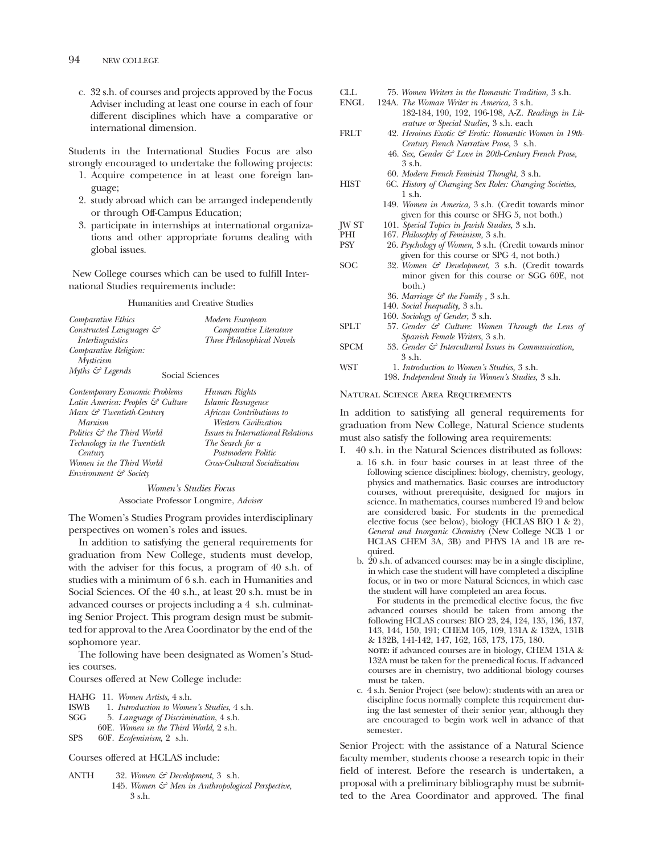c. 32 s.h. of courses and projects approved by the Focus Adviser including at least one course in each of four different disciplines which have a comparative or international dimension.

Students in the International Studies Focus are also strongly encouraged to undertake the following projects:

- 1. Acquire competence in at least one foreign language;
- 2. study abroad which can be arranged independently or through Off-Campus Education;
- 3. participate in internships at international organizations and other appropriate forums dealing with global issues.

New College courses which can be used to fulfll International Studies requirements include:

Humanities and Creative Studies

| Comparative Ethics                             | Modern European            |
|------------------------------------------------|----------------------------|
| Constructed Languages &                        | Comparative Literature     |
| <i>Interlinguistics</i>                        | Three Philosophical Novels |
| Comparative Religion:                          |                            |
| <b>Mysticism</b>                               |                            |
| Myths $\mathcal{C}$ Legends<br>Social Sciences |                            |
| Contemporary Economic Problems                 | Human Rights               |

| converge: 1                            | $1.1$ where $1.00$                       |
|----------------------------------------|------------------------------------------|
| Latin America: Peoples & Culture       | Islamic Resurgence                       |
| Marx & Twentieth-Century               | African Contributions to                 |
| Marxism                                | Western Civilization                     |
| Politics $\mathcal{S}$ the Third World | <i>Issues in International Relations</i> |
| Technology in the Twentieth            | The Search for a                         |
| Century                                | Postmodern Politic                       |
| Women in the Third World               | Cross-Cultural Socialization             |
| Environment & Society                  |                                          |
|                                        |                                          |

*Women's Studies Focus*  Associate Professor Longmire, *Adviser* 

The Women's Studies Program provides interdisciplinary perspectives on women's roles and issues.

In addition to satisfying the general requirements for graduation from New College, students must develop, with the adviser for this focus, a program of 40 s.h. of studies with a minimum of 6 s.h. each in Humanities and Social Sciences. Of the 40 s.h., at least 20 s.h. must be in advanced courses or projects including a 4 s.h. culminating Senior Project. This program design must be submitted for approval to the Area Coordinator by the end of the sophomore year.

The following have been designated as Women's Studies courses.

Courses offered at New College include:

HAHG 11. *Women Artists*, 4 s.h.

- ISWB 1. *Introduction to Women's Studies*, 4 s.h.
- SGG 5. *Language of Discrimination*, 4 s.h.
- 60E. *Women in the Third World*, 2 s.h.
- SPS 60F. *Ecofeminism*, 2 s.h.

Courses offered at HCLAS include:

ANTH 32. *Women & Development,* 3 s.h. 145. *Women & Men in Anthropological Perspective,*  3 s.h.

| ENGL         | 124A. The Woman Writer in America, 3 s.h.                      |
|--------------|----------------------------------------------------------------|
|              | 182-184, 190, 192, 196-198, A-Z. Readings in Lit-              |
|              | erature or Special Studies, 3 s.h. each                        |
| <b>FRLT</b>  | 42. Heroines Exotic & Erotic: Romantic Women in 19th-          |
|              | Century French Narrative Prose, 3 s.h.                         |
|              | 46. Sex, Gender & Love in 20th-Century French Prose,           |
|              | 3 s.h.                                                         |
|              | 60. Modern French Feminist Thought, 3 s.h.                     |
| <b>HIST</b>  | 6C. History of Changing Sex Roles: Changing Societies,         |
|              | 1 s.h.                                                         |
|              | 149. Women in America, 3 s.h. (Credit towards minor            |
|              | given for this course or SHG 5, not both.)                     |
| <b>JW ST</b> | 101. Special Topics in Jewish Studies, 3 s.h.                  |
| PHI          | 167. Philosophy of Feminism, 3 s.h.                            |
| PSY          | 26. Psychology of Women, 3 s.h. (Credit towards minor          |
|              | given for this course or SPG 4, not both.)                     |
| SOC          | 32. Women & Development, 3 s.h. (Credit towards                |
|              | minor given for this course or SGG 60E, not                    |
|              | both.)                                                         |
|              | 36. Marriage $\mathcal G$ the Family, 3 s.h.                   |
|              | 140. Social Inequality, 3 s.h.                                 |
|              | 160. Sociology of Gender, 3 s.h.                               |
| <b>SPLT</b>  | 57. Gender & Culture: Women Through the Lens of                |
|              | Spanish Female Writers, 3 s.h.                                 |
| <b>SPCM</b>  | 53. Gender $\mathcal G$ Intercultural Issues in Communication, |
|              | $3$ s.h.                                                       |
| WST          | 1. Introduction to Women's Studies, 3 s.h.                     |
|              | 198. Independent Study in Women's Studies, 3 s.h.              |

CLL 75. *Women Writers in the Romantic Tradition,* 3 s.h.

#### Natural Science Area Requirements

In addition to satisfying all general requirements for graduation from New College, Natural Science students must also satisfy the following area requirements:

- I. 40 s.h. in the Natural Sciences distributed as follows:
	- a. 16 s.h. in four basic courses in at least three of the following science disciplines: biology, chemistry, geology, physics and mathematics. Basic courses are introductory courses, without prerequisite, designed for majors in science. In mathematics, courses numbered 19 and below are considered basic. For students in the premedical elective focus (see below), biology (HCLAS BIO 1 & 2), *General and Inorganic Chemistry* (New College NCB 1 or HCLAS CHEM 3A, 3B) and PHYS 1A and 1B are required.
	- b. 20 s.h. of advanced courses: may be in a single discipline, in which case the student will have completed a discipline focus, or in two or more Natural Sciences, in which case the student will have completed an area focus.

For students in the premedical elective focus, the fve advanced courses should be taken from among the following HCLAS courses: BIO 23, 24, 124, 135, 136, 137, 143, 144, 150, 191; CHEM 105, 109, 131A & 132A, 131B & 132B, 141-142, 147, 162, 163, 173, 175, 180.

**NOTE:** if advanced courses are in biology, CHEM 131A & 132A must be taken for the premedical focus. If advanced courses are in chemistry, two additional biology courses must be taken.

c. 4 s.h. Senior Project (see below): students with an area or discipline focus normally complete this requirement during the last semester of their senior year, although they are encouraged to begin work well in advance of that semester.

Senior Project: with the assistance of a Natural Science faculty member, students choose a research topic in their feld of interest. Before the research is undertaken, a proposal with a preliminary bibliography must be submitted to the Area Coordinator and approved. The fnal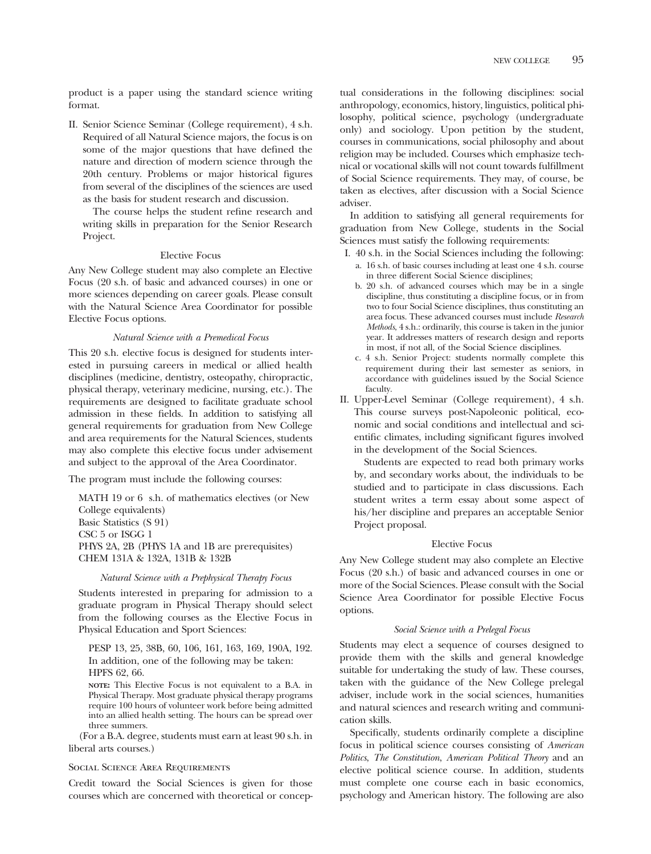product is a paper using the standard science writing format.

II. Senior Science Seminar (College requirement), 4 s.h. Required of all Natural Science majors, the focus is on some of the major questions that have defned the nature and direction of modern science through the 20th century. Problems or major historical fgures from several of the disciplines of the sciences are used as the basis for student research and discussion.

The course helps the student refne research and writing skills in preparation for the Senior Research Project.

# Elective Focus

Any New College student may also complete an Elective Focus (20 s.h. of basic and advanced courses) in one or more sciences depending on career goals. Please consult with the Natural Science Area Coordinator for possible Elective Focus options.

#### *Natural Science with a Premedical Focus*

This 20 s.h. elective focus is designed for students interested in pursuing careers in medical or allied health disciplines (medicine, dentistry, osteopathy, chiropractic, physical therapy, veterinary medicine, nursing, etc.). The requirements are designed to facilitate graduate school admission in these felds. In addition to satisfying all general requirements for graduation from New College and area requirements for the Natural Sciences, students may also complete this elective focus under advisement and subject to the approval of the Area Coordinator.

The program must include the following courses:

MATH 19 or 6 s.h. of mathematics electives (or New College equivalents) Basic Statistics (S 91) CSC 5 or ISGG 1 PHYS 2A, 2B (PHYS 1A and 1B are prerequisites) CHEM 131A & 132A, 131B & 132B

#### *Natural Science with a Prephysical Therapy Focus*

Students interested in preparing for admission to a graduate program in Physical Therapy should select from the following courses as the Elective Focus in Physical Education and Sport Sciences:

PESP 13, 25, 38B, 60, 106, 161, 163, 169, 190A, 192. In addition, one of the following may be taken: HPFS 62, 66.

**NOTE:** This Elective Focus is not equivalent to a B.A. in Physical Therapy. Most graduate physical therapy programs require 100 hours of volunteer work before being admitted into an allied health setting. The hours can be spread over three summers.

(For a B.A. degree, students must earn at least 90 s.h. in liberal arts courses.)

#### Social Science Area Requirements

Credit toward the Social Sciences is given for those courses which are concerned with theoretical or conceptual considerations in the following disciplines: social anthropology, economics, history, linguistics, political philosophy, political science, psychology (undergraduate only) and sociology. Upon petition by the student, courses in communications, social philosophy and about religion may be included. Courses which emphasize technical or vocational skills will not count towards fulfllment of Social Science requirements. They may, of course, be taken as electives, after discussion with a Social Science adviser.

In addition to satisfying all general requirements for graduation from New College, students in the Social Sciences must satisfy the following requirements:

- I. 40 s.h. in the Social Sciences including the following: a. 16 s.h. of basic courses including at least one 4 s.h. course in three different Social Science disciplines;
	- b. 20 s.h. of advanced courses which may be in a single discipline, thus constituting a discipline focus, or in from two to four Social Science disciplines, thus constituting an area focus. These advanced courses must include *Research Methods*, 4 s.h.: ordinarily, this course is taken in the junior year. It addresses matters of research design and reports in most, if not all, of the Social Science disciplines.
	- c. 4 s.h. Senior Project: students normally complete this requirement during their last semester as seniors, in accordance with guidelines issued by the Social Science faculty.
- II. Upper-Level Seminar (College requirement), 4 s.h. This course surveys post-Napoleonic political, economic and social conditions and intellectual and scientifc climates, including signifcant fgures involved in the development of the Social Sciences.

Students are expected to read both primary works by, and secondary works about, the individuals to be studied and to participate in class discussions. Each student writes a term essay about some aspect of his/her discipline and prepares an acceptable Senior Project proposal.

### Elective Focus

Any New College student may also complete an Elective Focus (20 s.h.) of basic and advanced courses in one or more of the Social Sciences. Please consult with the Social Science Area Coordinator for possible Elective Focus options.

#### *Social Science with a Prelegal Focus*

Students may elect a sequence of courses designed to provide them with the skills and general knowledge suitable for undertaking the study of law. These courses, taken with the guidance of the New College prelegal adviser, include work in the social sciences, humanities and natural sciences and research writing and communication skills.

Specifcally, students ordinarily complete a discipline focus in political science courses consisting of *American Politics*, *The Constitution*, *American Political Theory* and an elective political science course. In addition, students must complete one course each in basic economics, psychology and American history. The following are also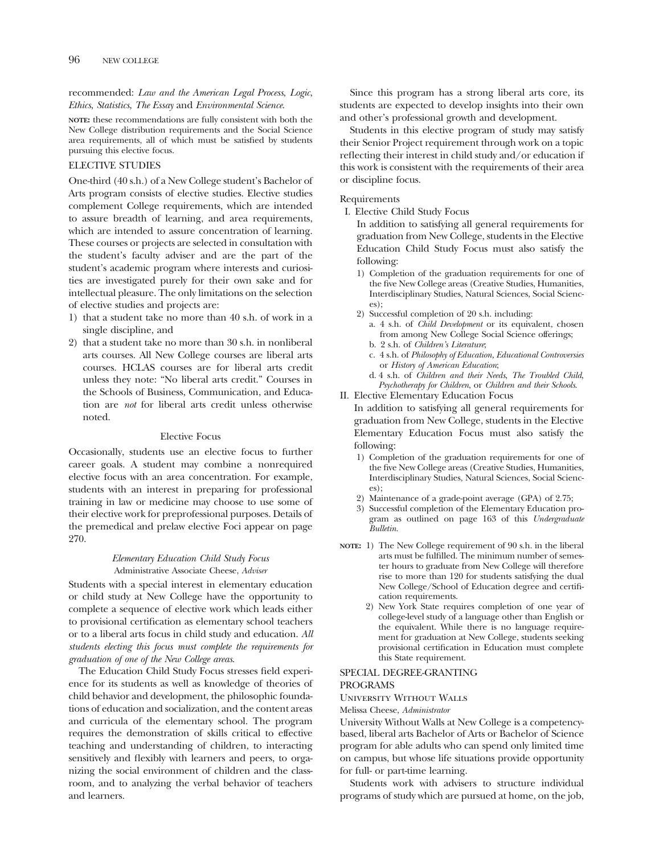recommended: *Law and the American Legal Process*, *Logic*, *Ethics*, *Statistics*, *The Essay* and *Environmental Science*.

**NOTE:** these recommendations are fully consistent with both the New College distribution requirements and the Social Science area requirements, all of which must be satisfed by students pursuing this elective focus.

# ELECTIVE STUDIES

One-third (40 s.h.) of a New College student's Bachelor of Arts program consists of elective studies. Elective studies complement College requirements, which are intended to assure breadth of learning, and area requirements, which are intended to assure concentration of learning. These courses or projects are selected in consultation with the student's faculty adviser and are the part of the student's academic program where interests and curiosities are investigated purely for their own sake and for intellectual pleasure. The only limitations on the selection of elective studies and projects are:

- 1) that a student take no more than 40 s.h. of work in a single discipline, and
- 2) that a student take no more than 30 s.h. in nonliberal arts courses. All New College courses are liberal arts courses. HCLAS courses are for liberal arts credit unless they note: "No liberal arts credit." Courses in the Schools of Business, Communication, and Education are *not* for liberal arts credit unless otherwise noted.

# Elective Focus

Occasionally, students use an elective focus to further career goals. A student may combine a nonrequired elective focus with an area concentration. For example, students with an interest in preparing for professional training in law or medicine may choose to use some of their elective work for preprofessional purposes. Details of the premedical and prelaw elective Foci appear on page 270.

# *Elementary Education Child Study Focus*  Administrative Associate Cheese, *Adviser*

Students with a special interest in elementary education or child study at New College have the opportunity to complete a sequence of elective work which leads either to provisional certifcation as elementary school teachers or to a liberal arts focus in child study and education. *All students electing this focus must complete the requirements for graduation of one of the New College areas*.

The Education Child Study Focus stresses feld experience for its students as well as knowledge of theories of child behavior and development, the philosophic foundations of education and socialization, and the content areas and curricula of the elementary school. The program requires the demonstration of skills critical to effective teaching and understanding of children, to interacting sensitively and fexibly with learners and peers, to organizing the social environment of children and the classroom, and to analyzing the verbal behavior of teachers and learners.

Since this program has a strong liberal arts core, its students are expected to develop insights into their own and other's professional growth and development.

Students in this elective program of study may satisfy their Senior Project requirement through work on a topic refecting their interest in child study and/or education if this work is consistent with the requirements of their area or discipline focus.

# Requirements

I. Elective Child Study Focus

In addition to satisfying all general requirements for graduation from New College, students in the Elective Education Child Study Focus must also satisfy the following:

- 1) Completion of the graduation requirements for one of the five New College areas (Creative Studies, Humanities, Interdisciplinary Studies, Natural Sciences, Social Sciences);
- 2) Successful completion of 20 s.h. including:
	- a. 4 s.h. of *Child Development* or its equivalent, chosen from among New College Social Science offerings;
	- b. 2 s.h. of *Children's Literature*;
	- c. 4 s.h. of *Philosophy of Education, Educational Controversies*  or *History of American Education*;
	- d. 4 s.h. of *Children and their Needs*, *The Troubled Child*, *Psychotherapy for Children*, or *Children and their Schools*.
- II. Elective Elementary Education Focus

In addition to satisfying all general requirements for graduation from New College, students in the Elective Elementary Education Focus must also satisfy the following:

- 1) Completion of the graduation requirements for one of the five New College areas (Creative Studies, Humanities, Interdisciplinary Studies, Natural Sciences, Social Sciences);
- 2) Maintenance of a grade-point average (GPA) of 2.75;
- 3) Successful completion of the Elementary Education program as outlined on page 163 of this *Undergraduate Bulletin*.
- **NOTE:** 1) The New College requirement of 90 s.h. in the liberal arts must be fulflled. The minimum number of semester hours to graduate from New College will therefore rise to more than 120 for students satisfying the dual New College/School of Education degree and certifcation requirements.
	- 2) New York State requires completion of one year of college-level study of a language other than English or the equivalent. While there is no language requirement for graduation at New College, students seeking provisional certifcation in Education must complete this State requirement.

# SPECIAL DEGREE-GRANTING

# PROGRAMS

University Without Walls

Melissa Cheese, *Administrator* 

University Without Walls at New College is a competencybased, liberal arts Bachelor of Arts or Bachelor of Science program for able adults who can spend only limited time on campus, but whose life situations provide opportunity for full- or part-time learning.

Students work with advisers to structure individual programs of study which are pursued at home, on the job,